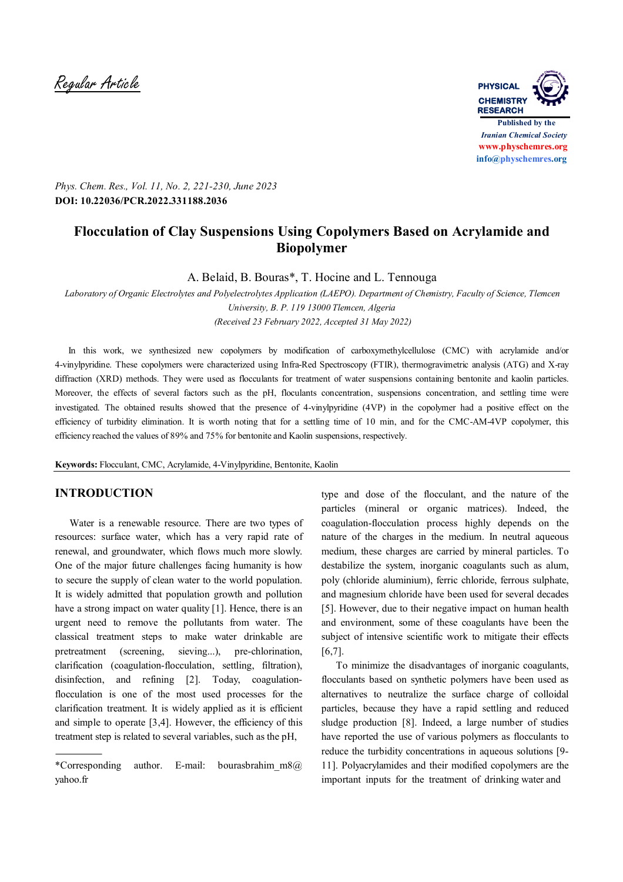Regular Article **PHYSICAL**



*Phys. Chem. Res., Vol. 11, No. 2, 221-230, June 2023* **DOI: 10.22036/PCR.2022.331188.2036**

# **Flocculation of Clay Suspensions Using Copolymers Based on Acrylamide and Biopolymer**

A. Belaid, B. Bouras\*, T. Hocine and L. Tennouga

*Laboratory of Organic Electrolytes and Polyelectrolytes Application (LAEPO). Department of Chemistry, Faculty of Science, Tlemcen University, B. P. 119 13000 Tlemcen, Algeria (Received 23 February 2022, Accepted 31 May 2022)*

In this work, we synthesized new copolymers by modification of carboxymethylcellulose (CMC) with acrylamide and/or 4-vinylpyridine. These copolymers were characterized using Infra-Red Spectroscopy (FTIR), thermogravimetric analysis (ATG) and X-ray diffraction (XRD) methods. They were used as flocculants for treatment of water suspensions containing bentonite and kaolin particles. Moreover, the effects of several factors such as the pH, floculants concentration, suspensions concentration, and settling time were investigated. The obtained results showed that the presence of 4-vinylpyridine (4VP) in the copolymer had a positive effect on the efficiency of turbidity elimination. It is worth noting that for a settling time of 10 min, and for the CMC-AM-4VP copolymer, this efficiency reached the values of 89% and 75% for bentonite and Kaolin suspensions, respectively.

**Keywords:** Flocculant, CMC, Acrylamide, 4-Vinylpyridine, Bentonite, Kaolin

## **INTRODUCTION**

 Water is a renewable resource. There are two types of resources: surface water, which has a very rapid rate of renewal, and groundwater, which flows much more slowly. One of the major future challenges facing humanity is how to secure the supply of clean water to the world population. It is widely admitted that population growth and pollution have a strong impact on water quality [1]. Hence, there is an urgent need to remove the pollutants from water. The classical treatment steps to make water drinkable are pretreatment (screening, sieving...), pre-chlorination, clarification (coagulation-flocculation, settling, filtration), disinfection, and refining [2]. Today, coagulationflocculation is one of the most used processes for the clarification treatment. It is widely applied as it is efficient and simple to operate [3,4]. However, the efficiency of this treatment step is related to several variables, such as the pH,

type and dose of the flocculant, and the nature of the particles (mineral or organic matrices). Indeed, the coagulation-flocculation process highly depends on the nature of the charges in the medium. In neutral aqueous medium, these charges are carried by mineral particles. To destabilize the system, inorganic coagulants such as alum, poly (chloride aluminium), ferric chloride, ferrous sulphate, and magnesium chloride have been used for several decades [5]. However, due to their negative impact on human health and environment, some of these coagulants have been the subject of intensive scientific work to mitigate their effects [6,7].

 To minimize the disadvantages of inorganic coagulants, flocculants based on synthetic polymers have been used as alternatives to neutralize the surface charge of colloidal particles, because they have a rapid settling and reduced sludge production [8]. Indeed, a large number of studies have reported the use of various polymers as flocculants to reduce the turbidity concentrations in aqueous solutions [9- 11]. Polyacrylamides and their modified copolymers are the important inputs for the treatment of drinking water and

<sup>\*</sup>Corresponding author. E-mail: bourasbrahim\_m8@ yahoo.fr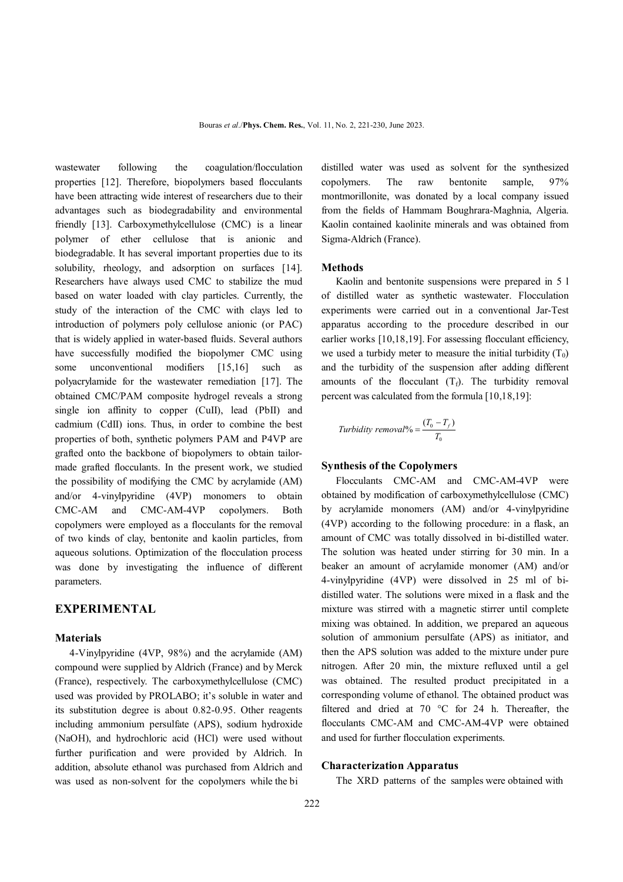wastewater following the coagulation/flocculation properties [12]. Therefore, biopolymers based flocculants have been attracting wide interest of researchers due to their advantages such as biodegradability and environmental friendly [13]. Carboxymethylcellulose (CMC) is a linear polymer of ether cellulose that is anionic and biodegradable. It has several important properties due to its solubility, rheology, and adsorption on surfaces [14]. Researchers have always used CMC to stabilize the mud based on water loaded with clay particles. Currently, the study of the interaction of the CMC with clays led to introduction of polymers poly cellulose anionic (or PAC) that is widely applied in water-based fluids. Several authors have successfully modified the biopolymer CMC using some unconventional modifiers [15,16] such as polyacrylamide for the wastewater remediation [17]. The obtained CMC/PAM composite hydrogel reveals a strong single ion affinity to copper (CuII), lead (PbII) and cadmium (CdII) ions. Thus, in order to combine the best properties of both, synthetic polymers PAM and P4VP are grafted onto the backbone of biopolymers to obtain tailormade grafted flocculants. In the present work, we studied the possibility of modifying the CMC by acrylamide (AM) and/or 4-vinylpyridine (4VP) monomers to obtain CMC-AM and CMC-AM-4VP copolymers. Both copolymers were employed as a flocculants for the removal of two kinds of clay, bentonite and kaolin particles, from aqueous solutions. Optimization of the flocculation process was done by investigating the influence of different parameters.

## **EXPERIMENTAL**

## **Materials**

 4-Vinylpyridine (4VP, 98%) and the acrylamide (AM) compound were supplied by Aldrich (France) and by Merck (France), respectively. The carboxymethylcellulose (CMC) used was provided by PROLABO; it's soluble in water and its substitution degree is about 0.82-0.95. Other reagents including ammonium persulfate (APS), sodium hydroxide (NaOH), and hydrochloric acid (HCl) were used without further purification and were provided by Aldrich. In addition, absolute ethanol was purchased from Aldrich and was used as non-solvent for the copolymers while the bi

distilled water was used as solvent for the synthesized copolymers. The raw bentonite sample, 97% montmorillonite, was donated by a local company issued from the fields of Hammam Boughrara-Maghnia, Algeria. Kaolin contained kaolinite minerals and was obtained from Sigma-Aldrich (France).

#### **Methods**

 Kaolin and bentonite suspensions were prepared in 5 l of distilled water as synthetic wastewater. Flocculation experiments were carried out in a conventional Jar-Test apparatus according to the procedure described in our earlier works [10,18,19]. For assessing flocculant efficiency, we used a turbidy meter to measure the initial turbidity  $(T_0)$ and the turbidity of the suspension after adding different amounts of the flocculant  $(T_f)$ . The turbidity removal percent was calculated from the formula [10,18,19]:

$$
Turbidity\,removal\% = \frac{(T_0 - T_f)}{T_0}
$$

### **Synthesis of the Copolymers**

 Flocculants CMC-AM and CMC-AM-4VP were obtained by modification of carboxymethylcellulose (CMC) by acrylamide monomers (AM) and/or 4-vinylpyridine (4VP) according to the following procedure: in a flask, an amount of CMC was totally dissolved in bi-distilled water. The solution was heated under stirring for 30 min. In a beaker an amount of acrylamide monomer (AM) and/or 4-vinylpyridine (4VP) were dissolved in 25 ml of bidistilled water. The solutions were mixed in a flask and the mixture was stirred with a magnetic stirrer until complete mixing was obtained. In addition, we prepared an aqueous solution of ammonium persulfate (APS) as initiator, and then the APS solution was added to the mixture under pure nitrogen. After 20 min, the mixture refluxed until a gel was obtained. The resulted product precipitated in a corresponding volume of ethanol. The obtained product was filtered and dried at 70 °C for 24 h. Thereafter, the flocculants CMC-AM and CMC-AM-4VP were obtained and used for further flocculation experiments.

#### **Characterization Apparatus**

The XRD patterns of the samples were obtained with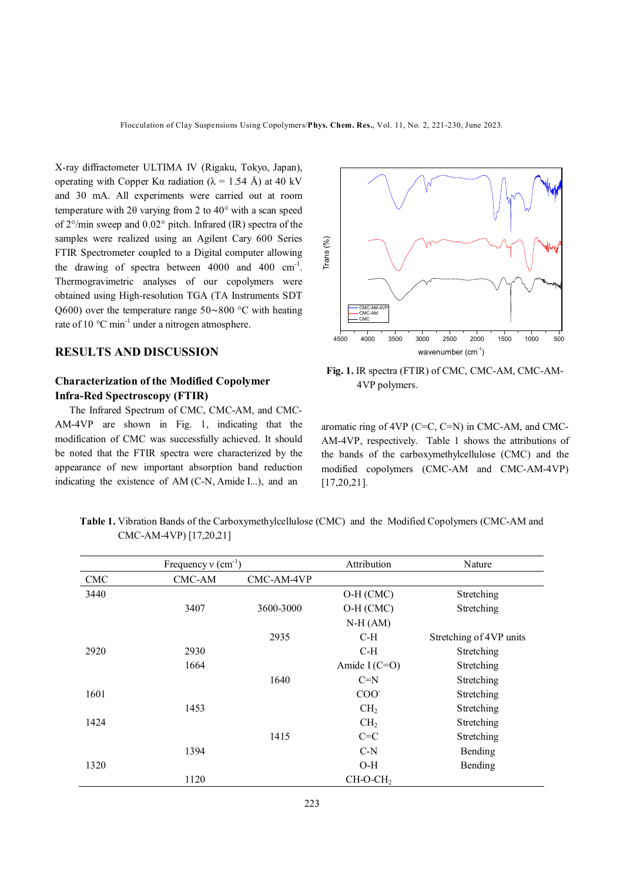X-ray diffractometer ULTIMA IV (Rigaku, Tokyo, Japan), operating with Copper K $\alpha$  radiation ( $\lambda = 1.54$  Å) at 40 kV and 30 mA. All experiments were carried out at room temperature with 2θ varying from 2 to 40° with a scan speed of 2°/min sweep and 0.02° pitch. Infrared (IR) spectra of the samples were realized using an Agilent Cary 600 Series FTIR Spectrometer coupled to a Digital computer allowing the drawing of spectra between  $4000$  and  $400$  cm<sup>-1</sup>. Thermogravimetric analyses of our copolymers were obtained using High-resolution TGA (TA Instruments SDT Q600) over the temperature range 50∼800 °C with heating rate of 10  $^{\circ}$ C min<sup>-1</sup> under a nitrogen atmosphere.

# **RESULTS AND DISCUSSION**

# **Characterization of the Modified Copolymer Infra-Red Spectroscopy (FTIR)**

The Infrared Spectrum of CMC, CMC-AM, and CMC-AM-4VP are shown in Fig. 1, indicating that the modification of CMC was successfully achieved. It should be noted that the FTIR spectra were characterized by the appearance of new important absorption band reduction indicating the existence of AM (C-N, Amide I...), and an



**Fig. 1.** IR spectra (FTIR) of CMC, CMC-AM, CMC-AM- 4VP polymers.

aromatic ring of 4VP (C=C, C=N) in CMC-AM, and CMC-AM-4VP, respectively. Table 1 shows the attributions of the bands of the carboxymethylcellulose (CMC) and the modified copolymers (CMC-AM and CMC-AM-4VP) [17,20,21].

 **Table 1.** Vibration Bands of the Carboxymethylcellulose (CMC) and the Modified Copolymers (CMC-AM and CMC-AM-4VP) [17,20,21]

| Frequency $v$ (cm <sup>-1</sup> ) |        |            | Attribution          | Nature                  |
|-----------------------------------|--------|------------|----------------------|-------------------------|
| <b>CMC</b>                        | CMC-AM | CMC-AM-4VP |                      |                         |
| 3440                              |        |            | $O-H (CMC)$          | Stretching              |
|                                   | 3407   | 3600-3000  | O-H (CMC)            | Stretching              |
|                                   |        |            | $N-H(AM)$            |                         |
|                                   |        | 2935       | $C-H$                | Stretching of 4VP units |
| 2920                              | 2930   |            | C-H                  | Stretching              |
|                                   | 1664   |            | Amide I $(C=O)$      | Stretching              |
|                                   |        | 1640       | $C=N$                | Stretching              |
| 1601                              |        |            | COO <sub>1</sub>     | Stretching              |
|                                   | 1453   |            | CH <sub>2</sub>      | Stretching              |
| 1424                              |        |            | CH <sub>2</sub>      | Stretching              |
|                                   |        | 1415       | $C=C$                | Stretching              |
|                                   | 1394   |            | $C-N$                | Bending                 |
| 1320                              |        |            | $O-H$                | Bending                 |
|                                   | 1120   |            | CH-O-CH <sub>2</sub> |                         |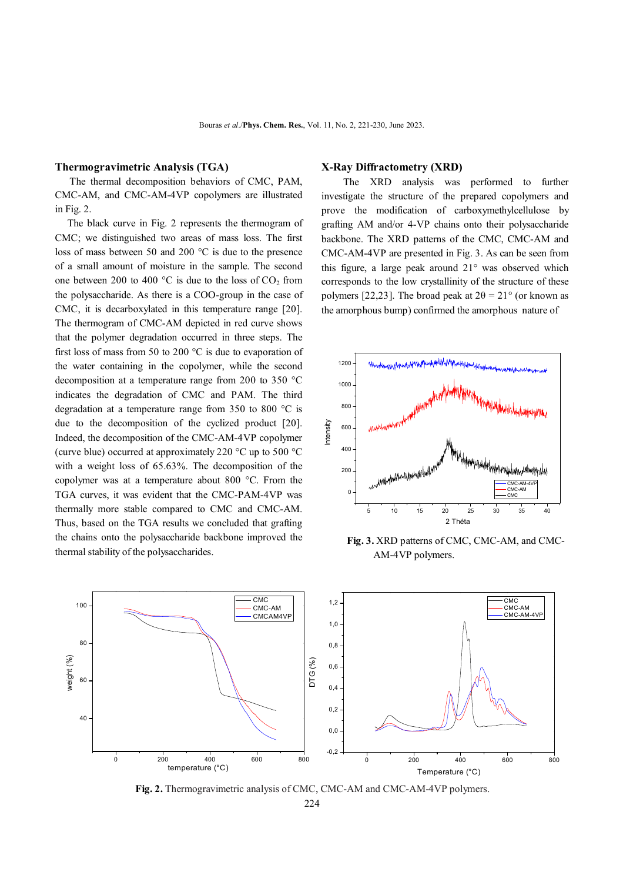### **Thermogravimetric Analysis (TGA)**

 The thermal decomposition behaviors of CMC, PAM, CMC-AM, and CMC-AM-4VP copolymers are illustrated in Fig. 2.

 The black curve in Fig. 2 represents the thermogram of CMC; we distinguished two areas of mass loss. The first loss of mass between 50 and 200 °C is due to the presence of a small amount of moisture in the sample. The second one between 200 to 400  $^{\circ}$ C is due to the loss of CO<sub>2</sub> from the polysaccharide. As there is a COO-group in the case of CMC, it is decarboxylated in this temperature range [20]. The thermogram of CMC-AM depicted in red curve shows that the polymer degradation occurred in three steps. The first loss of mass from 50 to 200 °C is due to evaporation of the water containing in the copolymer, while the second decomposition at a temperature range from 200 to 350 °C indicates the degradation of CMC and PAM. The third degradation at a temperature range from 350 to 800 °C is due to the decomposition of the cyclized product [20]. Indeed, the decomposition of the CMC-AM-4VP copolymer (curve blue) occurred at approximately 220 °C up to 500 °C with a weight loss of 65.63%. The decomposition of the copolymer was at a temperature about 800 °C. From the TGA curves, it was evident that the CMC-PAM-4VP was thermally more stable compared to CMC and CMC-AM. Thus, based on the TGA results we concluded that grafting the chains onto the polysaccharide backbone improved the thermal stability of the polysaccharides.

#### **X-Ray Diffractometry (XRD)**

The XRD analysis was performed to further investigate the structure of the prepared copolymers and prove the modification of carboxymethylcellulose by grafting AM and/or 4-VP chains onto their polysaccharide backbone. The XRD patterns of the CMC, CMC-AM and CMC-AM-4VP are presented in Fig. 3. As can be seen from this figure, a large peak around 21° was observed which corresponds to the low crystallinity of the structure of these polymers [22,23]. The broad peak at  $2\theta = 21^{\circ}$  (or known as the amorphous bump) confirmed the amorphous nature of



**Fig. 3.** XRD patterns of CMC, CMC-AM, and CMC- AM-4VP polymers.



**Fig. 2.** Thermogravimetric analysis of CMC, CMC-AM and CMC-AM-4VP polymers.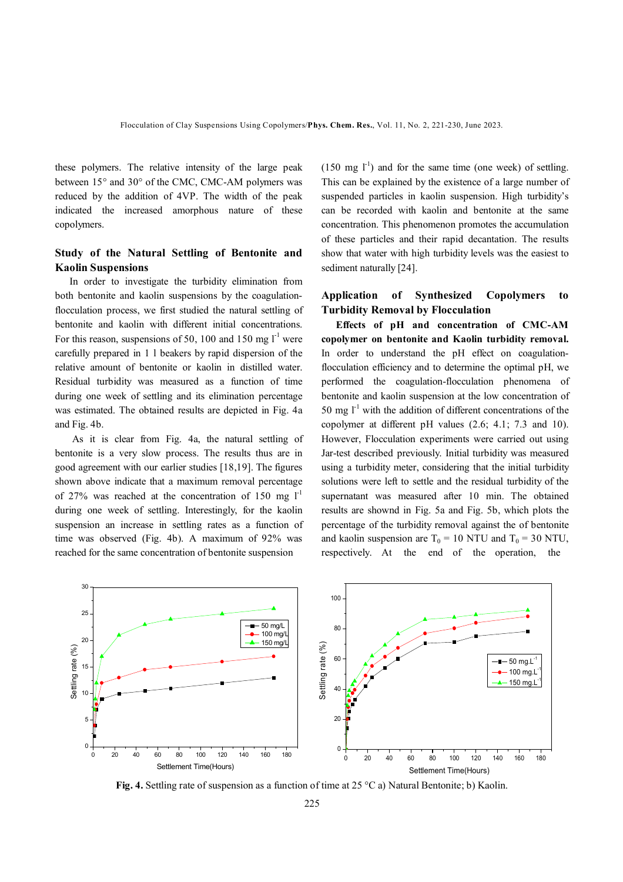these polymers. The relative intensity of the large peak between 15° and 30° of the CMC, CMC-AM polymers was reduced by the addition of 4VP. The width of the peak indicated the increased amorphous nature of these copolymers.

# **Study of the Natural Settling of Bentonite and Kaolin Suspensions**

 In order to investigate the turbidity elimination from both bentonite and kaolin suspensions by the coagulationflocculation process, we first studied the natural settling of bentonite and kaolin with different initial concentrations. For this reason, suspensions of 50, 100 and 150 mg  $I^{-1}$  were carefully prepared in 1 l beakers by rapid dispersion of the relative amount of bentonite or kaolin in distilled water. Residual turbidity was measured as a function of time during one week of settling and its elimination percentage was estimated. The obtained results are depicted in Fig. 4a and Fig. 4b.

 As it is clear from Fig. 4a, the natural settling of bentonite is a very slow process. The results thus are in good agreement with our earlier studies [18,19]. The figures shown above indicate that a maximum removal percentage of 27% was reached at the concentration of 150 mg  $I<sup>-1</sup>$ during one week of settling. Interestingly, for the kaolin suspension an increase in settling rates as a function of time was observed (Fig. 4b). A maximum of 92% was reached for the same concentration of bentonite suspension

 $(150 \text{ mg } l^{\text{-}1})$  and for the same time (one week) of settling. This can be explained by the existence of a large number of suspended particles in kaolin suspension. High turbidity's can be recorded with kaolin and bentonite at the same concentration. This phenomenon promotes the accumulation of these particles and their rapid decantation. The results show that water with high turbidity levels was the easiest to sediment naturally [24].

## **Application of Synthesized Copolymers to Turbidity Removal by Flocculation**

 **Effects of pH and concentration of CMC-AM copolymer on bentonite and Kaolin turbidity removal.**  In order to understand the pH effect on coagulationflocculation efficiency and to determine the optimal pH, we performed the coagulation-flocculation phenomena of bentonite and kaolin suspension at the low concentration of 50 mg  $I<sup>-1</sup>$  with the addition of different concentrations of the copolymer at different pH values (2.6; 4.1; 7.3 and 10). However, Flocculation experiments were carried out using Jar-test described previously. Initial turbidity was measured using a turbidity meter, considering that the initial turbidity solutions were left to settle and the residual turbidity of the supernatant was measured after 10 min. The obtained results are shownd in Fig. 5a and Fig. 5b, which plots the percentage of the turbidity removal against the of bentonite and kaolin suspension are  $T_0 = 10$  NTU and  $T_0 = 30$  NTU, respectively. At the end of the operation, the



**Fig. 4.** Settling rate of suspension as a function of time at 25 °C a) Natural Bentonite; b) Kaolin.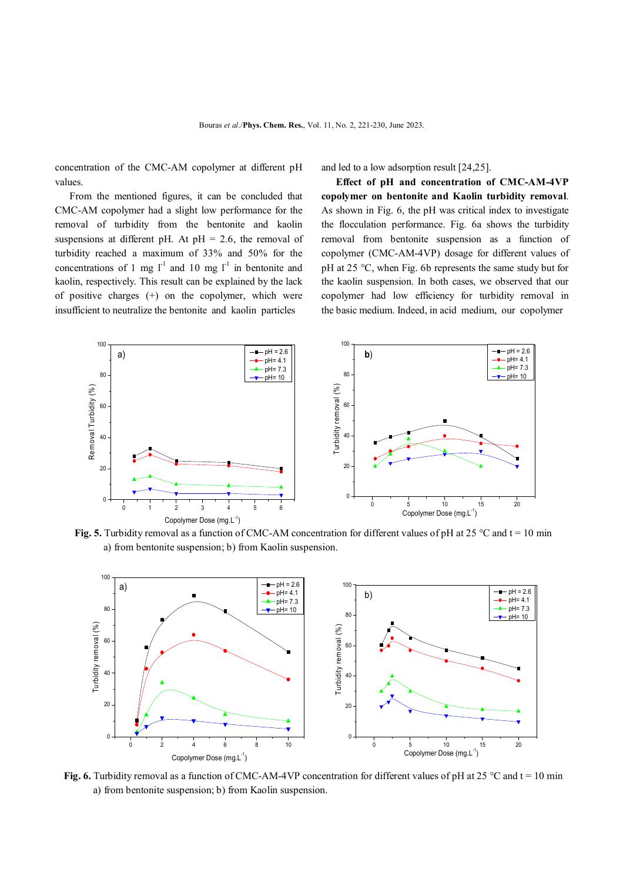concentration of the CMC-AM copolymer at different pH values.

 From the mentioned figures, it can be concluded that CMC-AM copolymer had a slight low performance for the removal of turbidity from the bentonite and kaolin suspensions at different pH. At  $pH = 2.6$ , the removal of turbidity reached a maximum of 33% and 50% for the concentrations of 1 mg  $l^{-1}$  and 10 mg  $l^{-1}$  in bentonite and kaolin, respectively. This result can be explained by the lack of positive charges (+) on the copolymer, which were insufficient to neutralize the bentonite and kaolin particles

and led to a low adsorption result [24,25].

 **Effect of pH and concentration of CMC-AM-4VP copolymer on bentonite and Kaolin turbidity removal**. As shown in Fig. 6, the pH was critical index to investigate the flocculation performance. Fig. 6a shows the turbidity removal from bentonite suspension as a function of copolymer (CMC-AM-4VP) dosage for different values of pH at 25 °C, when Fig. 6b represents the same study but for the kaolin suspension. In both cases, we observed that our copolymer had low efficiency for turbidity removal in the basic medium. Indeed, in acid medium, our copolymer



**Fig. 5.** Turbidity removal as a function of CMC-AM concentration for different values of pH at 25 °C and t = 10 min a) from bentonite suspension; b) from Kaolin suspension.



**Fig. 6.** Turbidity removal as a function of CMC-AM-4VP concentration for different values of pH at 25 °C and t = 10 min a) from bentonite suspension; b) from Kaolin suspension.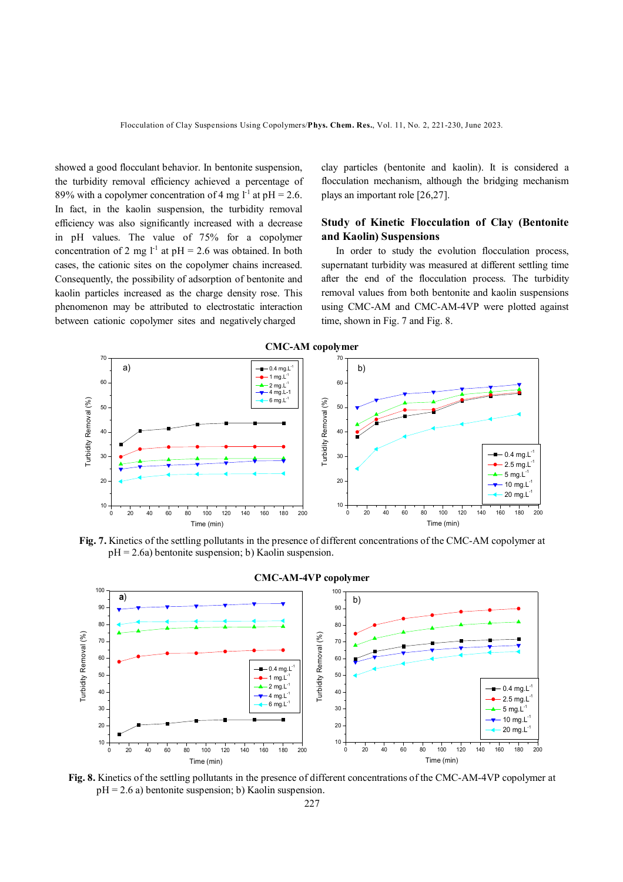showed a good flocculant behavior. In bentonite suspension, the turbidity removal efficiency achieved a percentage of 89% with a copolymer concentration of 4 mg  $l^1$  at pH = 2.6. In fact, in the kaolin suspension, the turbidity removal efficiency was also significantly increased with a decrease in pH values. The value of 75% for a copolymer concentration of 2 mg  $l^{-1}$  at pH = 2.6 was obtained. In both cases, the cationic sites on the copolymer chains increased. Consequently, the possibility of adsorption of bentonite and kaolin particles increased as the charge density rose. This phenomenon may be attributed to electrostatic interaction between cationic copolymer sites and negatively charged

clay particles (bentonite and kaolin). It is considered a flocculation mechanism, although the bridging mechanism plays an important role [26,27].

## **Study of Kinetic Flocculation of Clay (Bentonite and Kaolin) Suspensions**

 In order to study the evolution flocculation process, supernatant turbidity was measured at different settling time after the end of the flocculation process. The turbidity removal values from both bentonite and kaolin suspensions using CMC-AM and CMC-AM-4VP were plotted against time, shown in Fig. 7 and Fig. 8.



**Fig. 7.** Kinetics of the settling pollutants in the presence of different concentrations of the CMC-AM copolymer at  $pH = 2.6a$ ) bentonite suspension; b) Kaolin suspension.



#### **CMC-AM-4VP copolymer**

**Fig. 8.** Kinetics of the settling pollutants in the presence of different concentrations of the CMC-AM-4VP copolymer at  $pH = 2.6$  a) bentonite suspension; b) Kaolin suspension.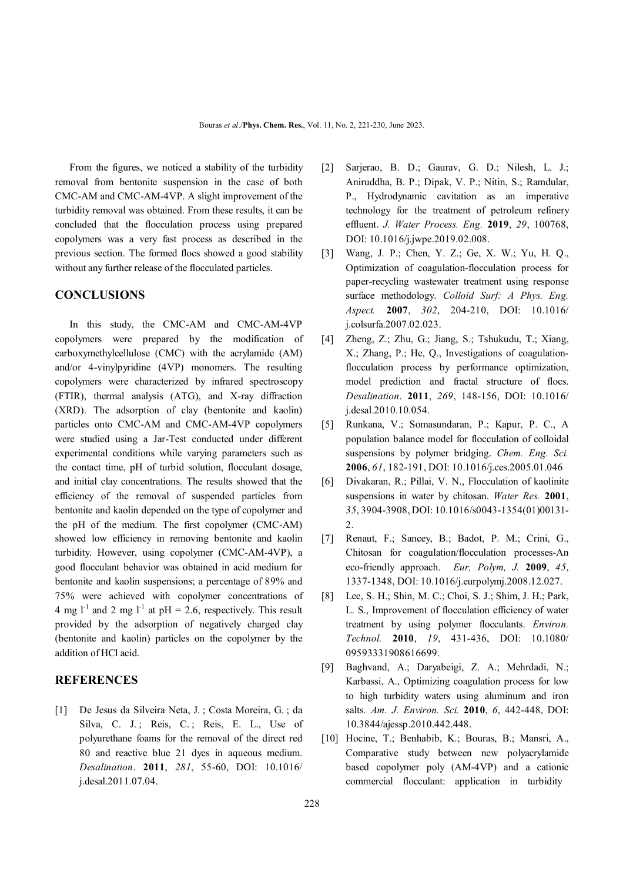From the figures, we noticed a stability of the turbidity removal from bentonite suspension in the case of both CMC-AM and CMC-AM-4VP. A slight improvement of the turbidity removal was obtained. From these results, it can be concluded that the flocculation process using prepared copolymers was a very fast process as described in the previous section. The formed flocs showed a good stability without any further release of the flocculated particles.

## **CONCLUSIONS**

 In this study, the CMC-AM and CMC-AM-4VP copolymers were prepared by the modification of carboxymethylcellulose (CMC) with the acrylamide (AM) and/or 4-vinylpyridine (4VP) monomers. The resulting copolymers were characterized by infrared spectroscopy (FTIR), thermal analysis (ATG), and X-ray diffraction (XRD). The adsorption of clay (bentonite and kaolin) particles onto CMC-AM and CMC-AM-4VP copolymers were studied using a Jar-Test conducted under different experimental conditions while varying parameters such as the contact time, pH of turbid solution, flocculant dosage, and initial clay concentrations. The results showed that the efficiency of the removal of suspended particles from bentonite and kaolin depended on the type of copolymer and the pH of the medium. The first copolymer (CMC-AM) showed low efficiency in removing bentonite and kaolin turbidity. However, using copolymer (CMC-AM-4VP), a good flocculant behavior was obtained in acid medium for bentonite and kaolin suspensions; a percentage of 89% and 75% were achieved with copolymer concentrations of 4 mg  $l^{-1}$  and 2 mg  $l^{-1}$  at pH = 2.6, respectively. This result provided by the adsorption of negatively charged clay (bentonite and kaolin) particles on the copolymer by the addition of HCl acid.

## **REFERENCES**

[1] De Jesus da Silveira Neta, J. ; Costa Moreira, G. ; da Silva, C. J.; Reis, C.; Reis, E. L., Use of polyurethane foams for the removal of the direct red 80 and reactive blue 21 dyes in aqueous medium. *Desalination*. **2011**, *281*, 55-60, DOI: 10.1016/ j.desal.2011.07.04.

- [2] Sarjerao, B. D.; Gaurav, G. D.; Nilesh, L. J.; Aniruddha, B. P.; Dipak, V. P.; Nitin, S.; Ramdular, P., Hydrodynamic cavitation as an imperative technology for the treatment of petroleum refinery effluent. *J. Water Process. Eng.* **2019**, *29*, 100768, DOI: 10.1016/j.jwpe.2019.02.008.
- [3] Wang, J. P.; Chen, Y. Z.; Ge, X. W.; Yu, H. Q., Optimization of coagulation-flocculation process for paper-recycling wastewater treatment using response surface methodology. *Colloid Surf: A Phys. Eng. Aspect.* **2007**, *302*, 204-210, DOI: 10.1016/ j.colsurfa.2007.02.023.
- [4] Zheng, Z.; Zhu, G.; Jiang, S.; Tshukudu, T.; Xiang, X.; Zhang, P.; He, Q., Investigations of coagulationflocculation process by performance optimization, model prediction and fractal structure of flocs. *Desalination*. **2011**, *269*, 148-156, DOI: 10.1016/ j.desal.2010.10.054.
- [5] Runkana, V.; Somasundaran, P.; Kapur, P. C., A population balance model for flocculation of colloidal suspensions by polymer bridging. *Chem. Eng. Sci.* **2006**, *61*, 182-191, DOI: 10.1016/j.ces.2005.01.046
- [6] Divakaran, R.; Pillai, V. N., Flocculation of kaolinite suspensions in water by chitosan. *Water Res.* **2001**, *35*, 3904-3908, DOI: 10.1016/s0043-1354(01)00131- 2.
- [7] Renaut, F.; Sancey, B.; Badot, P. M.; Crini, G., Chitosan for coagulation/flocculation processes-An eco-friendly approach. *Eur, Polym, J.* **2009**, *45*, 1337-1348, DOI: 10.1016/j.eurpolymj.2008.12.027.
- [8] Lee, S. H.; Shin, M. C.; Choi, S. J.; Shim, J. H.; Park, L. S., Improvement of flocculation efficiency of water treatment by using polymer flocculants. *Environ. Technol.* **2010**, *19*, 431-436, DOI: 10.1080/ 09593331908616699.
- [9] Baghvand, A.; Daryabeigi, Z. A.; Mehrdadi, N.; Karbassi, A., Optimizing coagulation process for low to high turbidity waters using aluminum and iron salts. *Am. J. Environ. Sci.* **2010**, *6*, 442-448, DOI: 10.3844/ajessp.2010.442.448.
- [10] Hocine, T.; Benhabib, K.; Bouras, B.; Mansri, A., Comparative study between new polyacrylamide based copolymer poly (AM-4VP) and a cationic commercial flocculant: application in turbidity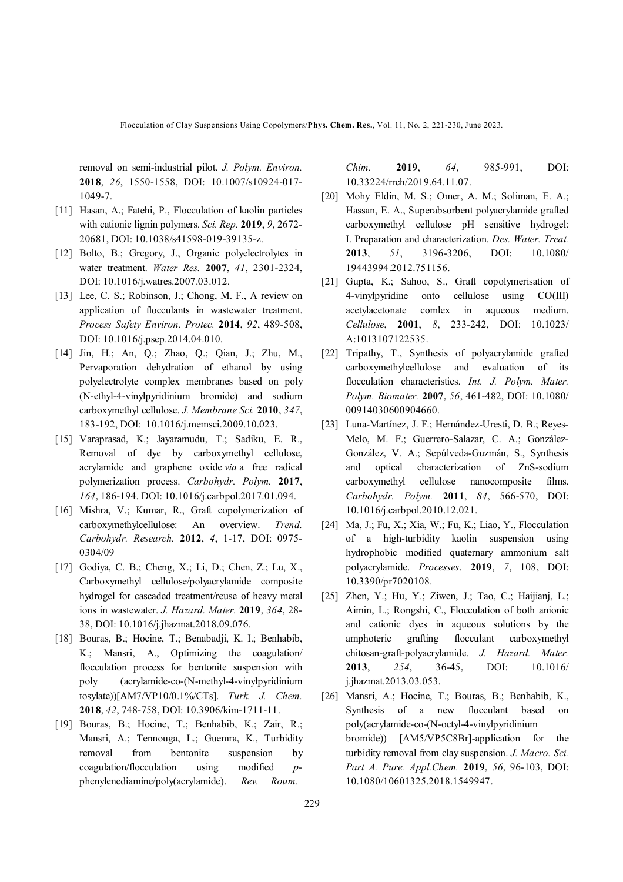Flocculation of Clay Suspensions Using Copolymers/**Phys. Chem. Res.**, Vol. 11, No. 2, 221-230, June 2023.

removal on semi-industrial pilot. *J. Polym. Environ.* **2018**, *26*, 1550-1558, DOI: 10.1007/s10924-017- 1049-7.

- [11] Hasan, A.; Fatehi, P., Flocculation of kaolin particles with cationic lignin polymers. *Sci. Rep.* **2019**, *9*, 2672- 20681, DOI: 10.1038/s41598-019-39135-z.
- [12] Bolto, B.; Gregory, J., Organic polyelectrolytes in water treatment. *Water Res.* **2007**, *41*, 2301-2324, DOI: 10.1016/j.watres.2007.03.012.
- [13] Lee, C. S.; Robinson, J.; Chong, M. F., A review on application of flocculants in wastewater treatment. *Process Safety Environ. Protec.* **2014**, *92*, 489-508, DOI: 10.1016/j.psep.2014.04.010.
- [14] Jin, H.; An, Q.; Zhao, Q.; Qian, J.; Zhu, M., Pervaporation dehydration of ethanol by using polyelectrolyte complex membranes based on poly (N-ethyl-4-vinylpyridinium bromide) and sodium carboxymethyl cellulose. *J. Membrane Sci.* **2010**, *347*, 183-192, DOI: 10.1016/j.memsci.2009.10.023.
- [15] Varaprasad, K.; Jayaramudu, T.; Sadiku, E. R., Removal of dye by carboxymethyl cellulose, acrylamide and graphene oxide *via* a free radical polymerization process. *Carbohydr. Polym.* **2017**, *164*, 186-194. DOI: 10.1016/j.carbpol.2017.01.094.
- [16] Mishra, V.; Kumar, R., Graft copolymerization of carboxymethylcellulose: An overview. *Trend. Carbohydr. Research.* **2012**, *4*, 1-17, DOI: 0975- 0304/09
- [17] Godiya, C. B.; Cheng, X.; Li, D.; Chen, Z.; Lu, X., Carboxymethyl cellulose/polyacrylamide composite hydrogel for cascaded treatment/reuse of heavy metal ions in wastewater. *J. Hazard. Mater.* **2019**, *364*, 28- 38, DOI: 10.1016/j.jhazmat.2018.09.076.
- [18] Bouras, B.; Hocine, T.; Benabadji, K. I.; Benhabib, K.; Mansri, A., Optimizing the coagulation/ flocculation process for bentonite suspension with poly (acrylamide-co-(N-methyl-4-vinylpyridinium tosylate))[AM7/VP10/0.1%/CTs]. *Turk. J. Chem.* **2018**, *42*, 748-758, DOI: 10.3906/kim-1711-11.
- [19] Bouras, B.; Hocine, T.; Benhabib, K.; Zair, R.; Mansri, A.; Tennouga, L.; Guemra, K., Turbidity removal from bentonite suspension by coagulation/flocculation using modified *p*phenylenediamine/poly(acrylamide). *Rev. Roum.*

*Chim.* **2019**, *64*, 985-991, DOI: 10.33224/rrch/2019.64.11.07.

- [20] Mohy Eldin, M. S.; Omer, A. M.; Soliman, E. A.; Hassan, E. A., Superabsorbent polyacrylamide grafted carboxymethyl cellulose pH sensitive hydrogel: I. Preparation and characterization. *Des. Water. Treat.* **2013**, *51*, 3196-3206, DOI: 10.1080/ 19443994.2012.751156.
- [21] Gupta, K.; Sahoo, S., Graft copolymerisation of 4-vinylpyridine onto cellulose using CO(III) acetylacetonate comlex in aqueous medium. *Cellulose*, **2001**, *8*, 233-242, DOI: 10.1023/ A:1013107122535.
- [22] Tripathy, T., Synthesis of polyacrylamide grafted carboxymethylcellulose and evaluation of its flocculation characteristics. *Int. J. Polym. Mater. Polym. Biomater.* **2007**, *56*, 461-482, DOI: 10.1080/ 00914030600904660.
- [23] Luna-Martínez, J. F.; Hernández-Uresti, D. B.; Reyes-Melo, M. F.; Guerrero-Salazar, C. A.; González-González, V. A.; Sepúlveda-Guzmán, S., Synthesis and optical characterization of ZnS-sodium carboxymethyl cellulose nanocomposite films. *Carbohydr. Polym.* **2011**, *84*, 566-570, DOI: 10.1016/j.carbpol.2010.12.021.
- [24] Ma, J.; Fu, X.; Xia, W.; Fu, K.; Liao, Y., Flocculation of a high-turbidity kaolin suspension using hydrophobic modified quaternary ammonium salt polyacrylamide. *Processes*. **2019**, *7*, 108, DOI: 10.3390/pr7020108.
- [25] Zhen, Y.; Hu, Y.; Ziwen, J.; Tao, C.; Haijianj, L.; Aimin, L.; Rongshi, C., Flocculation of both anionic and cationic dyes in aqueous solutions by the amphoteric grafting flocculant carboxymethyl chitosan-graft-polyacrylamide. *J. Hazard. Mater.* **2013**, *254*, 36-45, DOI: 10.1016/ j.jhazmat.2013.03.053.
- [26] Mansri, A.; Hocine, T.; Bouras, B.; Benhabib, K., Synthesis of a new flocculant based on poly(acrylamide-co-(N-octyl-4-vinylpyridinium bromide)) [AM5/VP5C8Br]-application for the turbidity removal from clay suspension. *J. Macro. Sci. Part A. Pure. Appl.Chem.* **2019**, *56*, 96-103, DOI: 10.1080/10601325.2018.1549947.